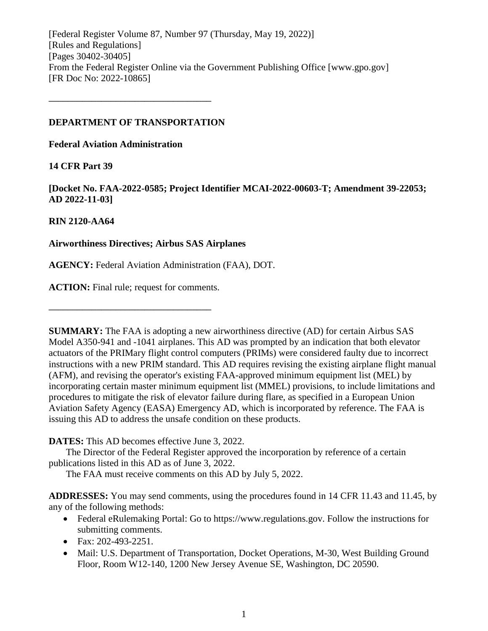[Federal Register Volume 87, Number 97 (Thursday, May 19, 2022)] [Rules and Regulations] [Pages 30402-30405] From the Federal Register Online via the Government Publishing Office [www.gpo.gov] [FR Doc No: 2022-10865]

## **DEPARTMENT OF TRANSPORTATION**

**––––––––––––––––––––––––––––––––––**

**Federal Aviation Administration**

# **14 CFR Part 39**

**[Docket No. FAA-2022-0585; Project Identifier MCAI-2022-00603-T; Amendment 39-22053; AD 2022-11-03]**

# **RIN 2120-AA64**

# **Airworthiness Directives; Airbus SAS Airplanes**

**AGENCY:** Federal Aviation Administration (FAA), DOT.

**ACTION:** Final rule; request for comments.

**––––––––––––––––––––––––––––––––––**

**SUMMARY:** The FAA is adopting a new airworthiness directive (AD) for certain Airbus SAS Model A350-941 and -1041 airplanes. This AD was prompted by an indication that both elevator actuators of the PRIMary flight control computers (PRIMs) were considered faulty due to incorrect instructions with a new PRIM standard. This AD requires revising the existing airplane flight manual (AFM), and revising the operator's existing FAA-approved minimum equipment list (MEL) by incorporating certain master minimum equipment list (MMEL) provisions, to include limitations and procedures to mitigate the risk of elevator failure during flare, as specified in a European Union Aviation Safety Agency (EASA) Emergency AD, which is incorporated by reference. The FAA is issuing this AD to address the unsafe condition on these products.

**DATES:** This AD becomes effective June 3, 2022.

The Director of the Federal Register approved the incorporation by reference of a certain publications listed in this AD as of June 3, 2022.

The FAA must receive comments on this AD by July 5, 2022.

**ADDRESSES:** You may send comments, using the procedures found in 14 CFR 11.43 and 11.45, by any of the following methods:

- Federal eRulemaking Portal: Go to https://www.regulations.gov. Follow the instructions for submitting comments.
- $\bullet$  Fax: 202-493-2251.
- Mail: U.S. Department of Transportation, Docket Operations, M-30, West Building Ground Floor, Room W12-140, 1200 New Jersey Avenue SE, Washington, DC 20590.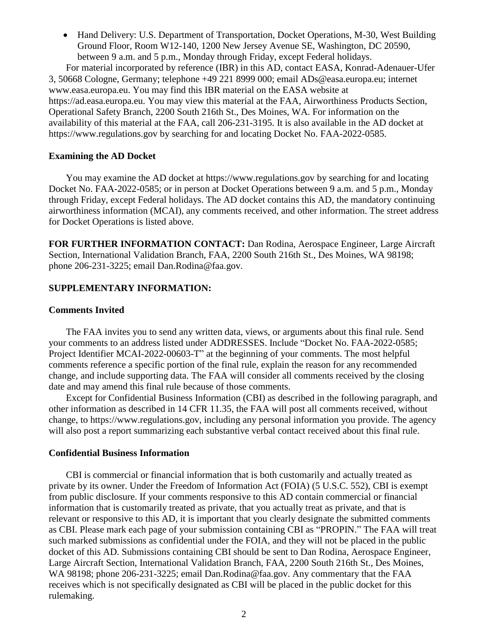• Hand Delivery: U.S. Department of Transportation, Docket Operations, M-30, West Building Ground Floor, Room W12-140, 1200 New Jersey Avenue SE, Washington, DC 20590, between 9 a.m. and 5 p.m., Monday through Friday, except Federal holidays.

For material incorporated by reference (IBR) in this AD, contact EASA, Konrad-Adenauer-Ufer 3, 50668 Cologne, Germany; telephone +49 221 8999 000; email ADs@easa.europa.eu; internet www.easa.europa.eu. You may find this IBR material on the EASA website at https://ad.easa.europa.eu. You may view this material at the FAA, Airworthiness Products Section, Operational Safety Branch, 2200 South 216th St., Des Moines, WA. For information on the availability of this material at the FAA, call 206-231-3195. It is also available in the AD docket at https://www.regulations.gov by searching for and locating Docket No. FAA-2022-0585.

## **Examining the AD Docket**

You may examine the AD docket at https://www.regulations.gov by searching for and locating Docket No. FAA-2022-0585; or in person at Docket Operations between 9 a.m. and 5 p.m., Monday through Friday, except Federal holidays. The AD docket contains this AD, the mandatory continuing airworthiness information (MCAI), any comments received, and other information. The street address for Docket Operations is listed above.

**FOR FURTHER INFORMATION CONTACT:** Dan Rodina, Aerospace Engineer, Large Aircraft Section, International Validation Branch, FAA, 2200 South 216th St., Des Moines, WA 98198; phone 206-231-3225; email Dan.Rodina@faa.gov.

## **SUPPLEMENTARY INFORMATION:**

## **Comments Invited**

The FAA invites you to send any written data, views, or arguments about this final rule. Send your comments to an address listed under ADDRESSES. Include "Docket No. FAA-2022-0585; Project Identifier MCAI-2022-00603-T" at the beginning of your comments. The most helpful comments reference a specific portion of the final rule, explain the reason for any recommended change, and include supporting data. The FAA will consider all comments received by the closing date and may amend this final rule because of those comments.

Except for Confidential Business Information (CBI) as described in the following paragraph, and other information as described in 14 CFR 11.35, the FAA will post all comments received, without change, to https://www.regulations.gov, including any personal information you provide. The agency will also post a report summarizing each substantive verbal contact received about this final rule.

#### **Confidential Business Information**

CBI is commercial or financial information that is both customarily and actually treated as private by its owner. Under the Freedom of Information Act (FOIA) (5 U.S.C. 552), CBI is exempt from public disclosure. If your comments responsive to this AD contain commercial or financial information that is customarily treated as private, that you actually treat as private, and that is relevant or responsive to this AD, it is important that you clearly designate the submitted comments as CBI. Please mark each page of your submission containing CBI as "PROPIN." The FAA will treat such marked submissions as confidential under the FOIA, and they will not be placed in the public docket of this AD. Submissions containing CBI should be sent to Dan Rodina, Aerospace Engineer, Large Aircraft Section, International Validation Branch, FAA, 2200 South 216th St., Des Moines, WA 98198; phone 206-231-3225; email Dan.Rodina@faa.gov. Any commentary that the FAA receives which is not specifically designated as CBI will be placed in the public docket for this rulemaking.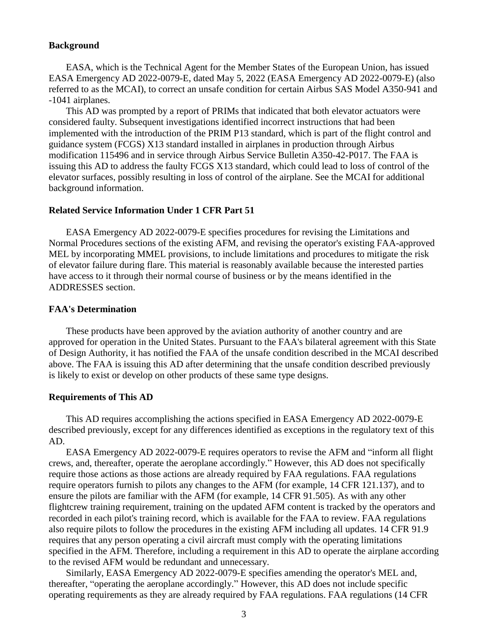#### **Background**

EASA, which is the Technical Agent for the Member States of the European Union, has issued EASA Emergency AD 2022-0079-E, dated May 5, 2022 (EASA Emergency AD 2022-0079-E) (also referred to as the MCAI), to correct an unsafe condition for certain Airbus SAS Model A350-941 and -1041 airplanes.

This AD was prompted by a report of PRIMs that indicated that both elevator actuators were considered faulty. Subsequent investigations identified incorrect instructions that had been implemented with the introduction of the PRIM P13 standard, which is part of the flight control and guidance system (FCGS) X13 standard installed in airplanes in production through Airbus modification 115496 and in service through Airbus Service Bulletin A350-42-P017. The FAA is issuing this AD to address the faulty FCGS X13 standard, which could lead to loss of control of the elevator surfaces, possibly resulting in loss of control of the airplane. See the MCAI for additional background information.

#### **Related Service Information Under 1 CFR Part 51**

EASA Emergency AD 2022-0079-E specifies procedures for revising the Limitations and Normal Procedures sections of the existing AFM, and revising the operator's existing FAA-approved MEL by incorporating MMEL provisions, to include limitations and procedures to mitigate the risk of elevator failure during flare. This material is reasonably available because the interested parties have access to it through their normal course of business or by the means identified in the ADDRESSES section.

#### **FAA's Determination**

These products have been approved by the aviation authority of another country and are approved for operation in the United States. Pursuant to the FAA's bilateral agreement with this State of Design Authority, it has notified the FAA of the unsafe condition described in the MCAI described above. The FAA is issuing this AD after determining that the unsafe condition described previously is likely to exist or develop on other products of these same type designs.

#### **Requirements of This AD**

This AD requires accomplishing the actions specified in EASA Emergency AD 2022-0079-E described previously, except for any differences identified as exceptions in the regulatory text of this AD.

EASA Emergency AD 2022-0079-E requires operators to revise the AFM and "inform all flight crews, and, thereafter, operate the aeroplane accordingly." However, this AD does not specifically require those actions as those actions are already required by FAA regulations. FAA regulations require operators furnish to pilots any changes to the AFM (for example, 14 CFR 121.137), and to ensure the pilots are familiar with the AFM (for example, 14 CFR 91.505). As with any other flightcrew training requirement, training on the updated AFM content is tracked by the operators and recorded in each pilot's training record, which is available for the FAA to review. FAA regulations also require pilots to follow the procedures in the existing AFM including all updates. 14 CFR 91.9 requires that any person operating a civil aircraft must comply with the operating limitations specified in the AFM. Therefore, including a requirement in this AD to operate the airplane according to the revised AFM would be redundant and unnecessary.

Similarly, EASA Emergency AD 2022-0079-E specifies amending the operator's MEL and, thereafter, "operating the aeroplane accordingly." However, this AD does not include specific operating requirements as they are already required by FAA regulations. FAA regulations (14 CFR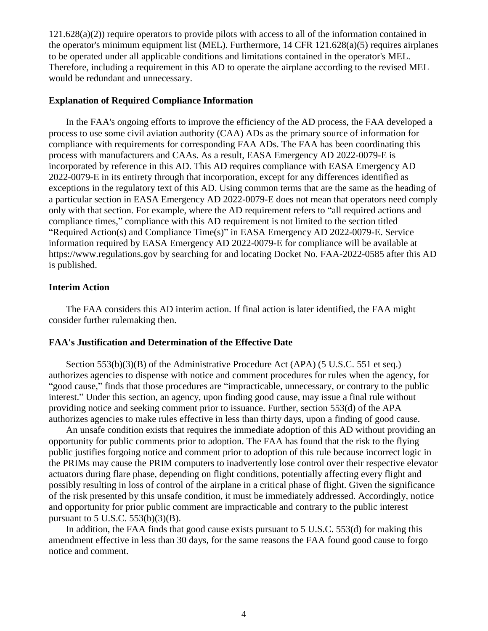121.628(a)(2)) require operators to provide pilots with access to all of the information contained in the operator's minimum equipment list (MEL). Furthermore, 14 CFR 121.628(a)(5) requires airplanes to be operated under all applicable conditions and limitations contained in the operator's MEL. Therefore, including a requirement in this AD to operate the airplane according to the revised MEL would be redundant and unnecessary.

#### **Explanation of Required Compliance Information**

In the FAA's ongoing efforts to improve the efficiency of the AD process, the FAA developed a process to use some civil aviation authority (CAA) ADs as the primary source of information for compliance with requirements for corresponding FAA ADs. The FAA has been coordinating this process with manufacturers and CAAs. As a result, EASA Emergency AD 2022-0079-E is incorporated by reference in this AD. This AD requires compliance with EASA Emergency AD 2022-0079-E in its entirety through that incorporation, except for any differences identified as exceptions in the regulatory text of this AD. Using common terms that are the same as the heading of a particular section in EASA Emergency AD 2022-0079-E does not mean that operators need comply only with that section. For example, where the AD requirement refers to "all required actions and compliance times," compliance with this AD requirement is not limited to the section titled "Required Action(s) and Compliance Time(s)" in EASA Emergency AD 2022-0079-E. Service information required by EASA Emergency AD 2022-0079-E for compliance will be available at https://www.regulations.gov by searching for and locating Docket No. FAA-2022-0585 after this AD is published.

## **Interim Action**

The FAA considers this AD interim action. If final action is later identified, the FAA might consider further rulemaking then.

#### **FAA's Justification and Determination of the Effective Date**

Section 553(b)(3)(B) of the Administrative Procedure Act (APA) (5 U.S.C. 551 et seq.) authorizes agencies to dispense with notice and comment procedures for rules when the agency, for "good cause," finds that those procedures are "impracticable, unnecessary, or contrary to the public interest." Under this section, an agency, upon finding good cause, may issue a final rule without providing notice and seeking comment prior to issuance. Further, section 553(d) of the APA authorizes agencies to make rules effective in less than thirty days, upon a finding of good cause.

An unsafe condition exists that requires the immediate adoption of this AD without providing an opportunity for public comments prior to adoption. The FAA has found that the risk to the flying public justifies forgoing notice and comment prior to adoption of this rule because incorrect logic in the PRIMs may cause the PRIM computers to inadvertently lose control over their respective elevator actuators during flare phase, depending on flight conditions, potentially affecting every flight and possibly resulting in loss of control of the airplane in a critical phase of flight. Given the significance of the risk presented by this unsafe condition, it must be immediately addressed. Accordingly, notice and opportunity for prior public comment are impracticable and contrary to the public interest pursuant to  $5$  U.S.C.  $553(b)(3)(B)$ .

In addition, the FAA finds that good cause exists pursuant to 5 U.S.C. 553(d) for making this amendment effective in less than 30 days, for the same reasons the FAA found good cause to forgo notice and comment.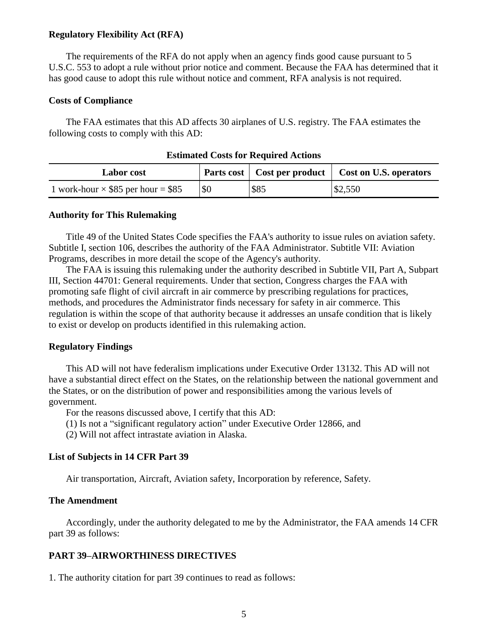#### **Regulatory Flexibility Act (RFA)**

The requirements of the RFA do not apply when an agency finds good cause pursuant to 5 U.S.C. 553 to adopt a rule without prior notice and comment. Because the FAA has determined that it has good cause to adopt this rule without notice and comment, RFA analysis is not required.

#### **Costs of Compliance**

The FAA estimates that this AD affects 30 airplanes of U.S. registry. The FAA estimates the following costs to comply with this AD:

| <b>Labor cost</b>                         |     |      | Parts cost   Cost per product   Cost on U.S. operators |
|-------------------------------------------|-----|------|--------------------------------------------------------|
| 1 work-hour $\times$ \$85 per hour = \$85 | \$0 | \$85 | \$2,550                                                |

#### **Estimated Costs for Required Actions**

#### **Authority for This Rulemaking**

Title 49 of the United States Code specifies the FAA's authority to issue rules on aviation safety. Subtitle I, section 106, describes the authority of the FAA Administrator. Subtitle VII: Aviation Programs, describes in more detail the scope of the Agency's authority.

The FAA is issuing this rulemaking under the authority described in Subtitle VII, Part A, Subpart III, Section 44701: General requirements. Under that section, Congress charges the FAA with promoting safe flight of civil aircraft in air commerce by prescribing regulations for practices, methods, and procedures the Administrator finds necessary for safety in air commerce. This regulation is within the scope of that authority because it addresses an unsafe condition that is likely to exist or develop on products identified in this rulemaking action.

#### **Regulatory Findings**

This AD will not have federalism implications under Executive Order 13132. This AD will not have a substantial direct effect on the States, on the relationship between the national government and the States, or on the distribution of power and responsibilities among the various levels of government.

For the reasons discussed above, I certify that this AD:

- (1) Is not a "significant regulatory action" under Executive Order 12866, and
- (2) Will not affect intrastate aviation in Alaska.

#### **List of Subjects in 14 CFR Part 39**

Air transportation, Aircraft, Aviation safety, Incorporation by reference, Safety.

#### **The Amendment**

Accordingly, under the authority delegated to me by the Administrator, the FAA amends 14 CFR part 39 as follows:

#### **PART 39–AIRWORTHINESS DIRECTIVES**

1. The authority citation for part 39 continues to read as follows: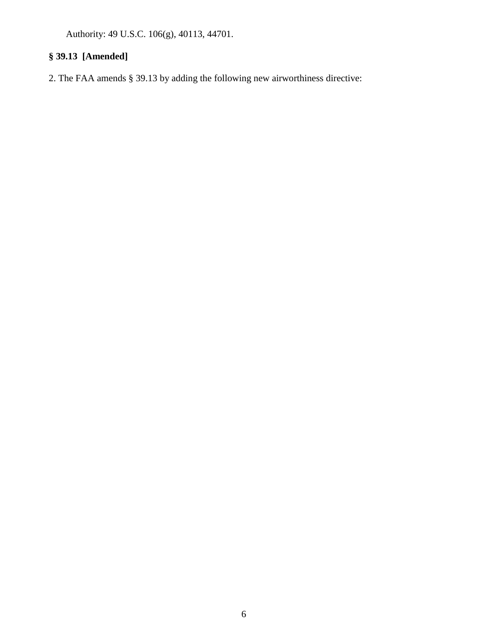Authority: 49 U.S.C. 106(g), 40113, 44701.

# **§ 39.13 [Amended]**

2. The FAA amends § 39.13 by adding the following new airworthiness directive: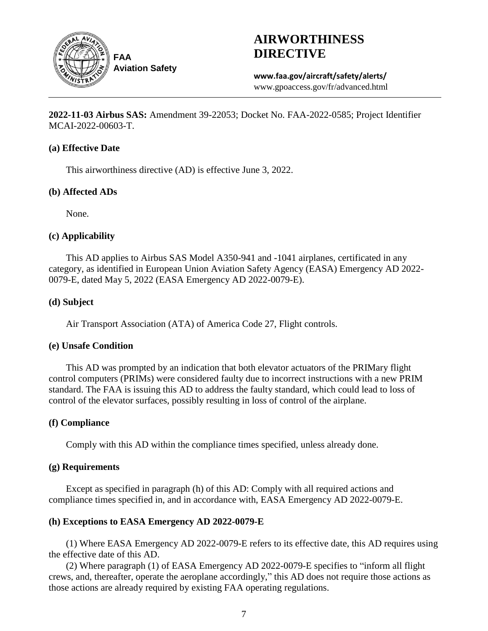

# **AIRWORTHINESS DIRECTIVE**

**www.faa.gov/aircraft/safety/alerts/** www.gpoaccess.gov/fr/advanced.html

**2022-11-03 Airbus SAS:** Amendment 39-22053; Docket No. FAA-2022-0585; Project Identifier MCAI-2022-00603-T.

## **(a) Effective Date**

This airworthiness directive (AD) is effective June 3, 2022.

## **(b) Affected ADs**

None.

## **(c) Applicability**

This AD applies to Airbus SAS Model A350-941 and -1041 airplanes, certificated in any category, as identified in European Union Aviation Safety Agency (EASA) Emergency AD 2022- 0079-E, dated May 5, 2022 (EASA Emergency AD 2022-0079-E).

## **(d) Subject**

Air Transport Association (ATA) of America Code 27, Flight controls.

## **(e) Unsafe Condition**

This AD was prompted by an indication that both elevator actuators of the PRIMary flight control computers (PRIMs) were considered faulty due to incorrect instructions with a new PRIM standard. The FAA is issuing this AD to address the faulty standard, which could lead to loss of control of the elevator surfaces, possibly resulting in loss of control of the airplane.

## **(f) Compliance**

Comply with this AD within the compliance times specified, unless already done.

## **(g) Requirements**

Except as specified in paragraph (h) of this AD: Comply with all required actions and compliance times specified in, and in accordance with, EASA Emergency AD 2022-0079-E.

## **(h) Exceptions to EASA Emergency AD 2022-0079-E**

(1) Where EASA Emergency AD 2022-0079-E refers to its effective date, this AD requires using the effective date of this AD.

(2) Where paragraph (1) of EASA Emergency AD 2022-0079-E specifies to "inform all flight crews, and, thereafter, operate the aeroplane accordingly," this AD does not require those actions as those actions are already required by existing FAA operating regulations.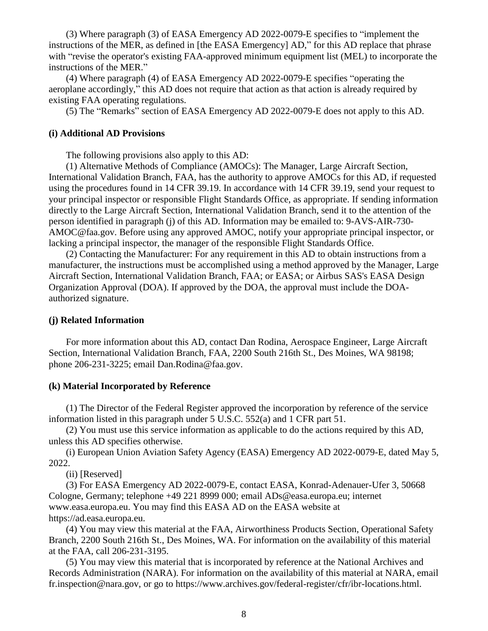(3) Where paragraph (3) of EASA Emergency AD 2022-0079-E specifies to "implement the instructions of the MER, as defined in [the EASA Emergency] AD," for this AD replace that phrase with "revise the operator's existing FAA-approved minimum equipment list (MEL) to incorporate the instructions of the MER."

(4) Where paragraph (4) of EASA Emergency AD 2022-0079-E specifies "operating the aeroplane accordingly," this AD does not require that action as that action is already required by existing FAA operating regulations.

(5) The "Remarks" section of EASA Emergency AD 2022-0079-E does not apply to this AD.

#### **(i) Additional AD Provisions**

The following provisions also apply to this AD:

(1) Alternative Methods of Compliance (AMOCs): The Manager, Large Aircraft Section, International Validation Branch, FAA, has the authority to approve AMOCs for this AD, if requested using the procedures found in 14 CFR 39.19. In accordance with 14 CFR 39.19, send your request to your principal inspector or responsible Flight Standards Office, as appropriate. If sending information directly to the Large Aircraft Section, International Validation Branch, send it to the attention of the person identified in paragraph (j) of this AD. Information may be emailed to: 9-AVS-AIR-730- AMOC@faa.gov. Before using any approved AMOC, notify your appropriate principal inspector, or lacking a principal inspector, the manager of the responsible Flight Standards Office.

(2) Contacting the Manufacturer: For any requirement in this AD to obtain instructions from a manufacturer, the instructions must be accomplished using a method approved by the Manager, Large Aircraft Section, International Validation Branch, FAA; or EASA; or Airbus SAS's EASA Design Organization Approval (DOA). If approved by the DOA, the approval must include the DOAauthorized signature.

#### **(j) Related Information**

For more information about this AD, contact Dan Rodina, Aerospace Engineer, Large Aircraft Section, International Validation Branch, FAA, 2200 South 216th St., Des Moines, WA 98198; phone 206-231-3225; email Dan.Rodina@faa.gov.

#### **(k) Material Incorporated by Reference**

(1) The Director of the Federal Register approved the incorporation by reference of the service information listed in this paragraph under 5 U.S.C. 552(a) and 1 CFR part 51.

(2) You must use this service information as applicable to do the actions required by this AD, unless this AD specifies otherwise.

(i) European Union Aviation Safety Agency (EASA) Emergency AD 2022-0079-E, dated May 5, 2022.

(ii) [Reserved]

(3) For EASA Emergency AD 2022-0079-E, contact EASA, Konrad-Adenauer-Ufer 3, 50668 Cologne, Germany; telephone +49 221 8999 000; email ADs@easa.europa.eu; internet www.easa.europa.eu. You may find this EASA AD on the EASA website at https://ad.easa.europa.eu.

(4) You may view this material at the FAA, Airworthiness Products Section, Operational Safety Branch, 2200 South 216th St., Des Moines, WA. For information on the availability of this material at the FAA, call 206-231-3195.

(5) You may view this material that is incorporated by reference at the National Archives and Records Administration (NARA). For information on the availability of this material at NARA, email fr.inspection@nara.gov, or go to https://www.archives.gov/federal-register/cfr/ibr-locations.html.